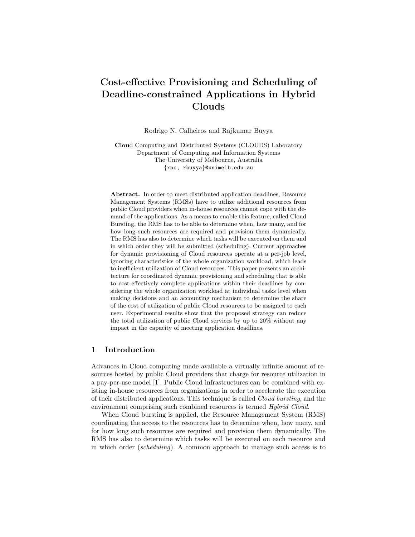# Cost-effective Provisioning and Scheduling of Deadline-constrained Applications in Hybrid Clouds

Rodrigo N. Calheiros and Rajkumar Buyya

Cloud Computing and Distributed Systems (CLOUDS) Laboratory Department of Computing and Information Systems The University of Melbourne, Australia {rnc, rbuyya}@unimelb.edu.au

Abstract. In order to meet distributed application deadlines, Resource Management Systems (RMSs) have to utilize additional resources from public Cloud providers when in-house resources cannot cope with the demand of the applications. As a means to enable this feature, called Cloud Bursting, the RMS has to be able to determine when, how many, and for how long such resources are required and provision them dynamically. The RMS has also to determine which tasks will be executed on them and in which order they will be submitted (scheduling). Current approaches for dynamic provisioning of Cloud resources operate at a per-job level, ignoring characteristics of the whole organization workload, which leads to inefficient utilization of Cloud resources. This paper presents an architecture for coordinated dynamic provisioning and scheduling that is able to cost-effectively complete applications within their deadlines by considering the whole organization workload at individual tasks level when making decisions and an accounting mechanism to determine the share of the cost of utilization of public Cloud resources to be assigned to each user. Experimental results show that the proposed strategy can reduce the total utilization of public Cloud services by up to 20% without any impact in the capacity of meeting application deadlines.

## 1 Introduction

Advances in Cloud computing made available a virtually infinite amount of resources hosted by public Cloud providers that charge for resource utilization in a pay-per-use model [1]. Public Cloud infrastructures can be combined with existing in-house resources from organizations in order to accelerate the execution of their distributed applications. This technique is called Cloud bursting, and the environment comprising such combined resources is termed Hybrid Cloud.

When Cloud bursting is applied, the Resource Management System (RMS) coordinating the access to the resources has to determine when, how many, and for how long such resources are required and provision them dynamically. The RMS has also to determine which tasks will be executed on each resource and in which order (scheduling). A common approach to manage such access is to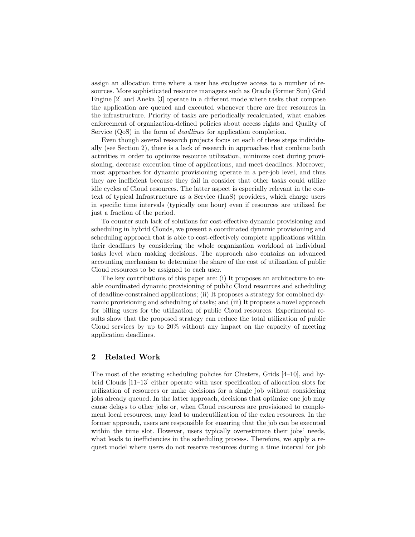assign an allocation time where a user has exclusive access to a number of resources. More sophisticated resource managers such as Oracle (former Sun) Grid Engine [2] and Aneka [3] operate in a different mode where tasks that compose the application are queued and executed whenever there are free resources in the infrastructure. Priority of tasks are periodically recalculated, what enables enforcement of organization-defined policies about access rights and Quality of Service (QoS) in the form of *deadlines* for application completion.

Even though several research projects focus on each of these steps individually (see Section 2), there is a lack of research in approaches that combine both activities in order to optimize resource utilization, minimize cost during provisioning, decrease execution time of applications, and meet deadlines. Moreover, most approaches for dynamic provisioning operate in a per-job level, and thus they are inefficient because they fail in consider that other tasks could utilize idle cycles of Cloud resources. The latter aspect is especially relevant in the context of typical Infrastructure as a Service (IaaS) providers, which charge users in specific time intervals (typically one hour) even if resources are utilized for just a fraction of the period.

To counter such lack of solutions for cost-effective dynamic provisioning and scheduling in hybrid Clouds, we present a coordinated dynamic provisioning and scheduling approach that is able to cost-effectively complete applications within their deadlines by considering the whole organization workload at individual tasks level when making decisions. The approach also contains an advanced accounting mechanism to determine the share of the cost of utilization of public Cloud resources to be assigned to each user.

The key contributions of this paper are: (i) It proposes an architecture to enable coordinated dynamic provisioning of public Cloud resources and scheduling of deadline-constrained applications; (ii) It proposes a strategy for combined dynamic provisioning and scheduling of tasks; and (iii) It proposes a novel approach for billing users for the utilization of public Cloud resources. Experimental results show that the proposed strategy can reduce the total utilization of public Cloud services by up to 20% without any impact on the capacity of meeting application deadlines.

# 2 Related Work

The most of the existing scheduling policies for Clusters, Grids [4–10], and hybrid Clouds [11–13] either operate with user specification of allocation slots for utilization of resources or make decisions for a single job without considering jobs already queued. In the latter approach, decisions that optimize one job may cause delays to other jobs or, when Cloud resources are provisioned to complement local resources, may lead to underutilization of the extra resources. In the former approach, users are responsible for ensuring that the job can be executed within the time slot. However, users typically overestimate their jobs' needs, what leads to inefficiencies in the scheduling process. Therefore, we apply a request model where users do not reserve resources during a time interval for job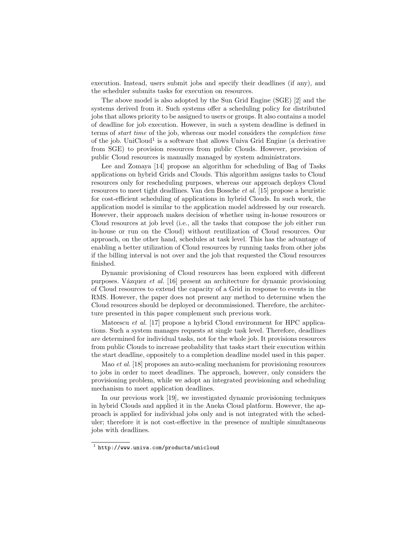execution. Instead, users submit jobs and specify their deadlines (if any), and the scheduler submits tasks for execution on resources.

The above model is also adopted by the Sun Grid Engine (SGE) [2] and the systems derived from it. Such systems offer a scheduling policy for distributed jobs that allows priority to be assigned to users or groups. It also contains a model of deadline for job execution. However, in such a system deadline is defined in terms of start time of the job, whereas our model considers the completion time of the job. UniCloud<sup>1</sup> is a software that allows Univa Grid Engine (a derivative from SGE) to provision resources from public Clouds. However, provision of public Cloud resources is manually managed by system administrators.

Lee and Zomaya [14] propose an algorithm for scheduling of Bag of Tasks applications on hybrid Grids and Clouds. This algorithm assigns tasks to Cloud resources only for rescheduling purposes, whereas our approach deploys Cloud resources to meet tight deadlines. Van den Bossche et al. [15] propose a heuristic for cost-efficient scheduling of applications in hybrid Clouds. In such work, the application model is similar to the application model addressed by our research. However, their approach makes decision of whether using in-house resources or Cloud resources at job level (i.e., all the tasks that compose the job either run in-house or run on the Cloud) without reutilization of Cloud resources. Our approach, on the other hand, schedules at task level. This has the advantage of enabling a better utilization of Cloud resources by running tasks from other jobs if the billing interval is not over and the job that requested the Cloud resources finished.

Dynamic provisioning of Cloud resources has been explored with different purposes. Vázquez et al. [16] present an architecture for dynamic provisioning of Cloud resources to extend the capacity of a Grid in response to events in the RMS. However, the paper does not present any method to determine when the Cloud resources should be deployed or decommissioned. Therefore, the architecture presented in this paper complement such previous work.

Mateescu et al. [17] propose a hybrid Cloud environment for HPC applications. Such a system manages requests at single task level. Therefore, deadlines are determined for individual tasks, not for the whole job. It provisions resources from public Clouds to increase probability that tasks start their execution within the start deadline, oppositely to a completion deadline model used in this paper.

Mao et al. [18] proposes an auto-scaling mechanism for provisioning resources to jobs in order to meet deadlines. The approach, however, only considers the provisioning problem, while we adopt an integrated provisioning and scheduling mechanism to meet application deadlines.

In our previous work [19], we investigated dynamic provisioning techniques in hybrid Clouds and applied it in the Aneka Cloud platform. However, the approach is applied for individual jobs only and is not integrated with the scheduler; therefore it is not cost-effective in the presence of multiple simultaneous jobs with deadlines.

<sup>1</sup> http://www.univa.com/products/unicloud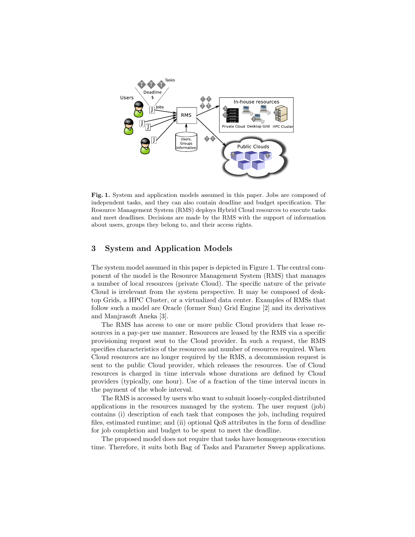

Fig. 1. System and application models assumed in this paper. Jobs are composed of independent tasks, and they can also contain deadline and budget specification. The Resource Management System (RMS) deploys Hybrid Cloud resources to execute tasks and meet deadlines. Decisions are made by the RMS with the support of information about users, groups they belong to, and their access rights.

# 3 System and Application Models

The system model assumed in this paper is depicted in Figure 1. The central component of the model is the Resource Management System (RMS) that manages a number of local resources (private Cloud). The specific nature of the private Cloud is irrelevant from the system perspective. It may be composed of desktop Grids, a HPC Cluster, or a virtualized data center. Examples of RMSs that follow such a model are Oracle (former Sun) Grid Engine [2] and its derivatives and Manjrasoft Aneka [3].

The RMS has access to one or more public Cloud providers that lease resources in a pay-per use manner. Resources are leased by the RMS via a specific provisioning request sent to the Cloud provider. In such a request, the RMS specifies characteristics of the resources and number of resources required. When Cloud resources are no longer required by the RMS, a decommission request is sent to the public Cloud provider, which releases the resources. Use of Cloud resources is charged in time intervals whose durations are defined by Cloud providers (typically, one hour). Use of a fraction of the time interval incurs in the payment of the whole interval.

The RMS is accessed by users who want to submit loosely-coupled distributed applications in the resources managed by the system. The user request (job) contains (i) description of each task that composes the job, including required files, estimated runtime; and (ii) optional QoS attributes in the form of deadline for job completion and budget to be spent to meet the deadline.

The proposed model does not require that tasks have homogeneous execution time. Therefore, it suits both Bag of Tasks and Parameter Sweep applications.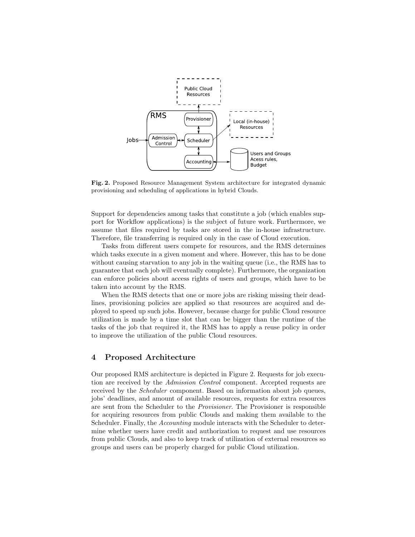

Fig. 2. Proposed Resource Management System architecture for integrated dynamic provisioning and scheduling of applications in hybrid Clouds.

Support for dependencies among tasks that constitute a job (which enables support for Workflow applications) is the subject of future work. Furthermore, we assume that files required by tasks are stored in the in-house infrastructure. Therefore, file transferring is required only in the case of Cloud execution.

Tasks from different users compete for resources, and the RMS determines which tasks execute in a given moment and where. However, this has to be done without causing starvation to any job in the waiting queue (i.e., the RMS has to guarantee that each job will eventually complete). Furthermore, the organization can enforce policies about access rights of users and groups, which have to be taken into account by the RMS.

When the RMS detects that one or more jobs are risking missing their deadlines, provisioning policies are applied so that resources are acquired and deployed to speed up such jobs. However, because charge for public Cloud resource utilization is made by a time slot that can be bigger than the runtime of the tasks of the job that required it, the RMS has to apply a reuse policy in order to improve the utilization of the public Cloud resources.

# 4 Proposed Architecture

Our proposed RMS architecture is depicted in Figure 2. Requests for job execution are received by the Admission Control component. Accepted requests are received by the *Scheduler* component. Based on information about job queues, jobs' deadlines, and amount of available resources, requests for extra resources are sent from the Scheduler to the Provisioner. The Provisioner is responsible for acquiring resources from public Clouds and making them available to the Scheduler. Finally, the *Accounting* module interacts with the Scheduler to determine whether users have credit and authorization to request and use resources from public Clouds, and also to keep track of utilization of external resources so groups and users can be properly charged for public Cloud utilization.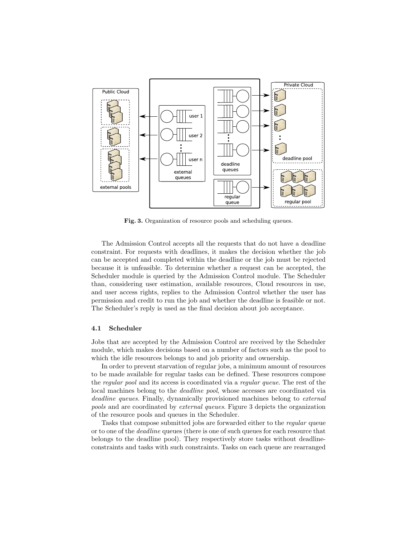

Fig. 3. Organization of resource pools and scheduling queues.

The Admission Control accepts all the requests that do not have a deadline constraint. For requests with deadlines, it makes the decision whether the job can be accepted and completed within the deadline or the job must be rejected because it is unfeasible. To determine whether a request can be accepted, the Scheduler module is queried by the Admission Control module. The Scheduler than, considering user estimation, available resources, Cloud resources in use, and user access rights, replies to the Admission Control whether the user has permission and credit to run the job and whether the deadline is feasible or not. The Scheduler's reply is used as the final decision about job acceptance.

#### 4.1 Scheduler

Jobs that are accepted by the Admission Control are received by the Scheduler module, which makes decisions based on a number of factors such as the pool to which the idle resources belongs to and job priority and ownership.

In order to prevent starvation of regular jobs, a minimum amount of resources to be made available for regular tasks can be defined. These resources compose the regular pool and its access is coordinated via a regular queue. The rest of the local machines belong to the deadline pool, whose accesses are coordinated via deadline queues. Finally, dynamically provisioned machines belong to external pools and are coordinated by external queues. Figure 3 depicts the organization of the resource pools and queues in the Scheduler.

Tasks that compose submitted jobs are forwarded either to the regular queue or to one of the deadline queues (there is one of such queues for each resource that belongs to the deadline pool). They respectively store tasks without deadlineconstraints and tasks with such constraints. Tasks on each queue are rearranged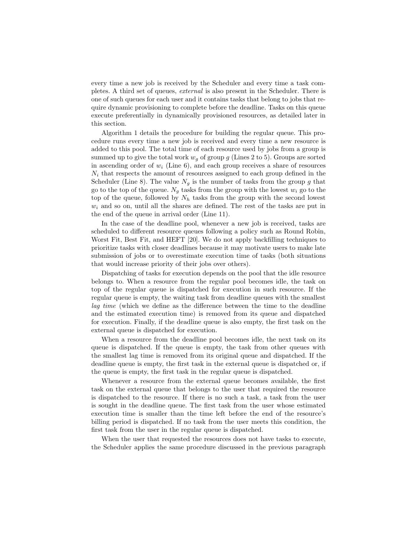every time a new job is received by the Scheduler and every time a task completes. A third set of queues, external is also present in the Scheduler. There is one of such queues for each user and it contains tasks that belong to jobs that require dynamic provisioning to complete before the deadline. Tasks on this queue execute preferentially in dynamically provisioned resources, as detailed later in this section.

Algorithm 1 details the procedure for building the regular queue. This procedure runs every time a new job is received and every time a new resource is added to this pool. The total time of each resource used by jobs from a group is summed up to give the total work  $w_q$  of group g (Lines 2 to 5). Groups are sorted in ascending order of  $w_i$  (Line 6), and each group receives a share of resources  $N_i$  that respects the amount of resources assigned to each group defined in the Scheduler (Line 8). The value  $N_q$  is the number of tasks from the group g that go to the top of the queue.  $N_g$  tasks from the group with the lowest  $w_i$  go to the top of the queue, followed by  $N_h$  tasks from the group with the second lowest  $w_i$  and so on, until all the shares are defined. The rest of the tasks are put in the end of the queue in arrival order (Line 11).

In the case of the deadline pool, whenever a new job is received, tasks are scheduled to different resource queues following a policy such as Round Robin, Worst Fit, Best Fit, and HEFT [20]. We do not apply backfilling techniques to prioritize tasks with closer deadlines because it may motivate users to make late submission of jobs or to overestimate execution time of tasks (both situations that would increase priority of their jobs over others).

Dispatching of tasks for execution depends on the pool that the idle resource belongs to. When a resource from the regular pool becomes idle, the task on top of the regular queue is dispatched for execution in such resource. If the regular queue is empty, the waiting task from deadline queues with the smallest lag time (which we define as the difference between the time to the deadline and the estimated execution time) is removed from its queue and dispatched for execution. Finally, if the deadline queue is also empty, the first task on the external queue is dispatched for execution.

When a resource from the deadline pool becomes idle, the next task on its queue is dispatched. If the queue is empty, the task from other queues with the smallest lag time is removed from its original queue and dispatched. If the deadline queue is empty, the first task in the external queue is dispatched or, if the queue is empty, the first task in the regular queue is dispatched.

Whenever a resource from the external queue becomes available, the first task on the external queue that belongs to the user that required the resource is dispatched to the resource. If there is no such a task, a task from the user is sought in the deadline queue. The first task from the user whose estimated execution time is smaller than the time left before the end of the resource's billing period is dispatched. If no task from the user meets this condition, the first task from the user in the regular queue is dispatched.

When the user that requested the resources does not have tasks to execute, the Scheduler applies the same procedure discussed in the previous paragraph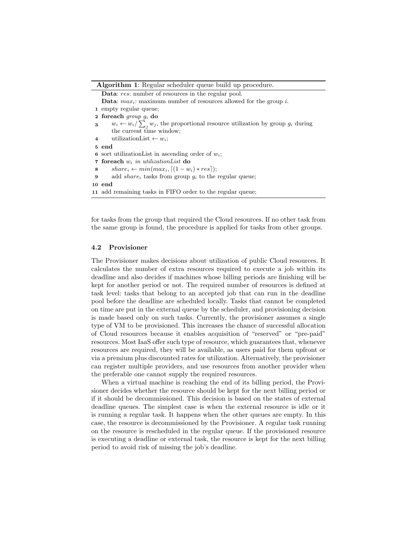#### Algorithm 1: Regular scheduler queue build up procedure.

```
Data: res: number of resources in the regular pool.
   Data: max_i: maximum number of resources allowed for the group i.
 1 empty regular queue;
 2 foreach group q_i do
 3 w_i \leftarrow w_i / \sum_j w_j, the proportional resource utilization by group g_i during
       the current time window;
 4 utilizationList \leftarrow w_i;
 5 end
 6 sort utilization List in ascending order of w_i;
 7 foreach w_i in utilizationList do
 8 share<sub>i</sub> ← min(max<sub>i</sub>, [(1 - w_i) * res]);
 9 add share; tasks from group q_i to the regular queue;
10 end
11 add remaining tasks in FIFO order to the regular queue;
```
for tasks from the group that required the Cloud resources. If no other task from the same group is found, the procedure is applied for tasks from other groups.

#### 4.2 Provisioner

The Provisioner makes decisions about utilization of public Cloud resources. It calculates the number of extra resources required to execute a job within its deadline and also decides if machines whose billing periods are finishing will be kept for another period or not. The required number of resources is defined at task level: tasks that belong to an accepted job that can run in the deadline pool before the deadline are scheduled locally. Tasks that cannot be completed on time are put in the external queue by the scheduler, and provisioning decision is made based only on such tasks. Currently, the provisioner assumes a single type of VM to be provisioned. This increases the chance of successful allocation of Cloud resources because it enables acquisition of "reserved" or "pre-paid" resources. Most IaaS offer such type of resource, which guarantees that, whenever resources are required, they will be available, as users paid for them upfront or via a premium plus discounted rates for utilization. Alternatively, the provisioner can register multiple providers, and use resources from another provider when the preferable one cannot supply the required resources.

When a virtual machine is reaching the end of its billing period, the Provisioner decides whether the resource should be kept for the next billing period or if it should be decommissioned. This decision is based on the states of external deadline queues. The simplest case is when the external resource is idle or it is running a regular task. It happens when the other queues are empty. In this case, the resource is decommissioned by the Provisioner. A regular task running on the resource is rescheduled in the regular queue. If the provisioned resource is executing a deadline or external task, the resource is kept for the next billing period to avoid risk of missing the job's deadline.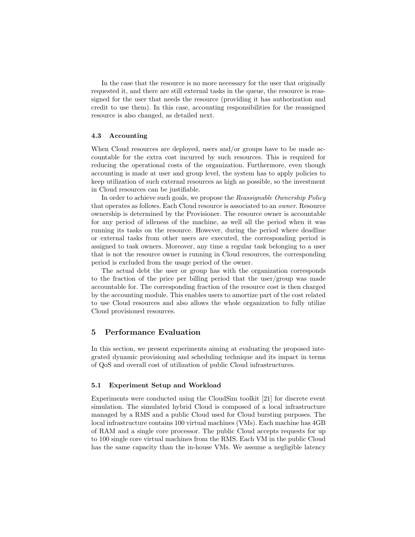In the case that the resource is no more necessary for the user that originally requested it, and there are still external tasks in the queue, the resource is reassigned for the user that needs the resource (providing it has authorization and credit to use them). In this case, accounting responsibilities for the reassigned resource is also changed, as detailed next.

#### 4.3 Accounting

When Cloud resources are deployed, users and/or groups have to be made accountable for the extra cost incurred by such resources. This is required for reducing the operational costs of the organization. Furthermore, even though accounting is made at user and group level, the system has to apply policies to keep utilization of such external resources as high as possible, so the investment in Cloud resources can be justifiable.

In order to achieve such goals, we propose the Reassignable Ownership Policy that operates as follows. Each Cloud resource is associated to an owner. Resource ownership is determined by the Provisioner. The resource owner is accountable for any period of idleness of the machine, as well all the period when it was running its tasks on the resource. However, during the period where deadline or external tasks from other users are executed, the corresponding period is assigned to task owners. Moreover, any time a regular task belonging to a user that is not the resource owner is running in Cloud resources, the corresponding period is excluded from the usage period of the owner.

The actual debt the user or group has with the organization corresponds to the fraction of the price per billing period that the user/group was made accountable for. The corresponding fraction of the resource cost is then charged by the accounting module. This enables users to amortize part of the cost related to use Cloud resources and also allows the whole organization to fully utilize Cloud provisioned resources.

## 5 Performance Evaluation

In this section, we present experiments aiming at evaluating the proposed integrated dynamic provisioning and scheduling technique and its impact in terms of QoS and overall cost of utilization of public Cloud infrastructures.

#### 5.1 Experiment Setup and Workload

Experiments were conducted using the CloudSim toolkit [21] for discrete event simulation. The simulated hybrid Cloud is composed of a local infrastructure managed by a RMS and a public Cloud used for Cloud bursting purposes. The local infrastructure contains 100 virtual machines (VMs). Each machine has 4GB of RAM and a single core processor. The public Cloud accepts requests for up to 100 single core virtual machines from the RMS. Each VM in the public Cloud has the same capacity than the in-house VMs. We assume a negligible latency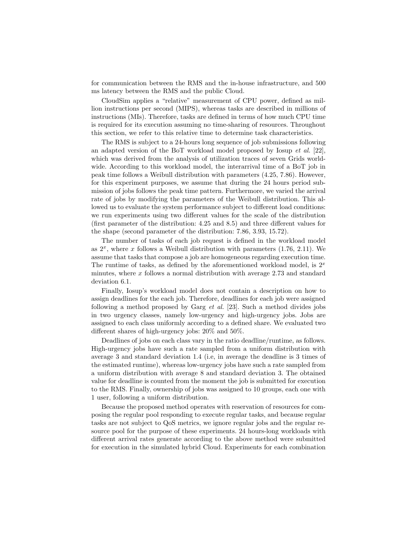for communication between the RMS and the in-house infrastructure, and 500 ms latency between the RMS and the public Cloud.

CloudSim applies a "relative" measurement of CPU power, defined as million instructions per second (MIPS), whereas tasks are described in millions of instructions (MIs). Therefore, tasks are defined in terms of how much CPU time is required for its execution assuming no time-sharing of resources. Throughout this section, we refer to this relative time to determine task characteristics.

The RMS is subject to a 24-hours long sequence of job submissions following an adapted version of the BoT workload model proposed by Iosup  $et \ al.$  [22], which was derived from the analysis of utilization traces of seven Grids worldwide. According to this workload model, the interarrival time of a BoT job in peak time follows a Weibull distribution with parameters (4.25, 7.86). However, for this experiment purposes, we assume that during the 24 hours period submission of jobs follows the peak time pattern. Furthermore, we varied the arrival rate of jobs by modifying the parameters of the Weibull distribution. This allowed us to evaluate the system performance subject to different load conditions: we run experiments using two different values for the scale of the distribution (first parameter of the distribution: 4.25 and 8.5) and three different values for the shape (second parameter of the distribution: 7.86, 3.93, 15.72).

The number of tasks of each job request is defined in the workload model as  $2^x$ , where x follows a Weibull distribution with parameters  $(1.76, 2.11)$ . We assume that tasks that compose a job are homogeneous regarding execution time. The runtime of tasks, as defined by the aforementioned workload model, is  $2<sup>x</sup>$ minutes, where  $x$  follows a normal distribution with average 2.73 and standard deviation 6.1.

Finally, Iosup's workload model does not contain a description on how to assign deadlines for the each job. Therefore, deadlines for each job were assigned following a method proposed by Garg et al. [23]. Such a method divides jobs in two urgency classes, namely low-urgency and high-urgency jobs. Jobs are assigned to each class uniformly according to a defined share. We evaluated two different shares of high-urgency jobs: 20% and 50%.

Deadlines of jobs on each class vary in the ratio deadline/runtime, as follows. High-urgency jobs have such a rate sampled from a uniform distribution with average 3 and standard deviation 1.4 (i.e, in average the deadline is 3 times of the estimated runtime), whereas low-urgency jobs have such a rate sampled from a uniform distribution with average 8 and standard deviation 3. The obtained value for deadline is counted from the moment the job is submitted for execution to the RMS. Finally, ownership of jobs was assigned to 10 groups, each one with 1 user, following a uniform distribution.

Because the proposed method operates with reservation of resources for composing the regular pool responding to execute regular tasks, and because regular tasks are not subject to QoS metrics, we ignore regular jobs and the regular resource pool for the purpose of these experiments. 24 hours-long workloads with different arrival rates generate according to the above method were submitted for execution in the simulated hybrid Cloud. Experiments for each combination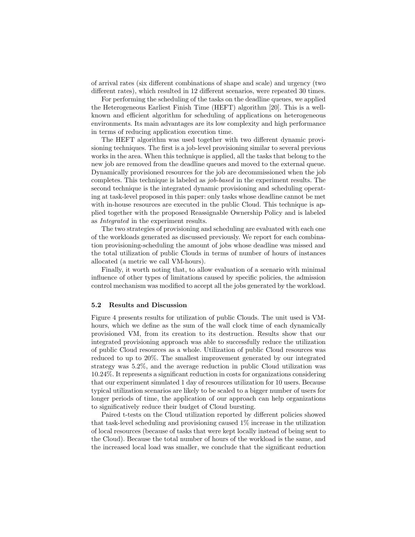of arrival rates (six different combinations of shape and scale) and urgency (two different rates), which resulted in 12 different scenarios, were repeated 30 times.

For performing the scheduling of the tasks on the deadline queues, we applied the Heterogeneous Earliest Finish Time (HEFT) algorithm [20]. This is a wellknown and efficient algorithm for scheduling of applications on heterogeneous environments. Its main advantages are its low complexity and high performance in terms of reducing application execution time.

The HEFT algorithm was used together with two different dynamic provisioning techniques. The first is a job-level provisioning similar to several previous works in the area. When this technique is applied, all the tasks that belong to the new job are removed from the deadline queues and moved to the external queue. Dynamically provisioned resources for the job are decommissioned when the job completes. This technique is labeled as job-based in the experiment results. The second technique is the integrated dynamic provisioning and scheduling operating at task-level proposed in this paper: only tasks whose deadline cannot be met with in-house resources are executed in the public Cloud. This technique is applied together with the proposed Reassignable Ownership Policy and is labeled as Integrated in the experiment results.

The two strategies of provisioning and scheduling are evaluated with each one of the workloads generated as discussed previously. We report for each combination provisioning-scheduling the amount of jobs whose deadline was missed and the total utilization of public Clouds in terms of number of hours of instances allocated (a metric we call VM-hours).

Finally, it worth noting that, to allow evaluation of a scenario with minimal influence of other types of limitations caused by specific policies, the admission control mechanism was modified to accept all the jobs generated by the workload.

#### 5.2 Results and Discussion

Figure 4 presents results for utilization of public Clouds. The unit used is VMhours, which we define as the sum of the wall clock time of each dynamically provisioned VM, from its creation to its destruction. Results show that our integrated provisioning approach was able to successfully reduce the utilization of public Cloud resources as a whole. Utilization of public Cloud resources was reduced to up to 20%. The smallest improvement generated by our integrated strategy was 5.2%, and the average reduction in public Cloud utilization was 10.24%. It represents a significant reduction in costs for organizations considering that our experiment simulated 1 day of resources utilization for 10 users. Because typical utilization scenarios are likely to be scaled to a bigger number of users for longer periods of time, the application of our approach can help organizations to significatively reduce their budget of Cloud bursting.

Paired t-tests on the Cloud utilization reported by different policies showed that task-level scheduling and provisioning caused 1% increase in the utilization of local resources (because of tasks that were kept locally instead of being sent to the Cloud). Because the total number of hours of the workload is the same, and the increased local load was smaller, we conclude that the significant reduction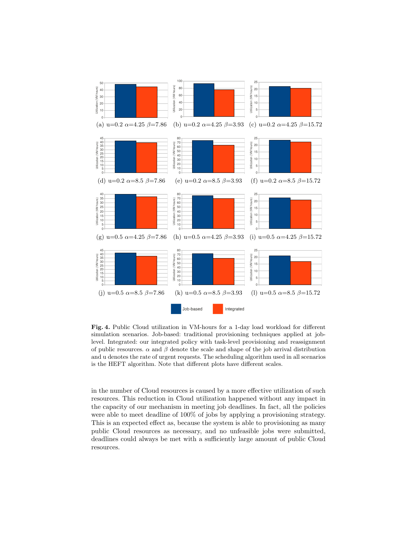

Fig. 4. Public Cloud utilization in VM-hours for a 1-day load workload for different simulation scenarios. Job-based: traditional provisioning techniques applied at joblevel. Integrated: our integrated policy with task-level provisioning and reassignment of public resources.  $\alpha$  and  $\beta$  denote the scale and shape of the job arrival distribution and u denotes the rate of urgent requests. The scheduling algorithm used in all scenarios is the HEFT algorithm. Note that different plots have different scales.

in the number of Cloud resources is caused by a more effective utilization of such resources. This reduction in Cloud utilization happened without any impact in the capacity of our mechanism in meeting job deadlines. In fact, all the policies were able to meet deadline of 100% of jobs by applying a provisioning strategy. This is an expected effect as, because the system is able to provisioning as many public Cloud resources as necessary, and no unfeasible jobs were submitted, deadlines could always be met with a sufficiently large amount of public Cloud resources.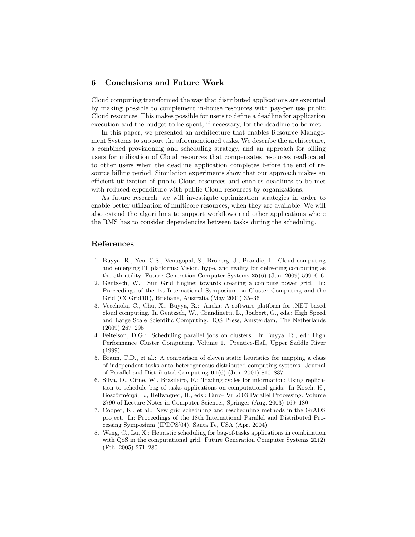# 6 Conclusions and Future Work

Cloud computing transformed the way that distributed applications are executed by making possible to complement in-house resources with pay-per use public Cloud resources. This makes possible for users to define a deadline for application execution and the budget to be spent, if necessary, for the deadline to be met.

In this paper, we presented an architecture that enables Resource Management Systems to support the aforementioned tasks. We describe the architecture, a combined provisioning and scheduling strategy, and an approach for billing users for utilization of Cloud resources that compensates resources reallocated to other users when the deadline application completes before the end of resource billing period. Simulation experiments show that our approach makes an efficient utilization of public Cloud resources and enables deadlines to be met with reduced expenditure with public Cloud resources by organizations.

As future research, we will investigate optimization strategies in order to enable better utilization of multicore resources, when they are available. We will also extend the algorithms to support workflows and other applications where the RMS has to consider dependencies between tasks during the scheduling.

# References

- 1. Buyya, R., Yeo, C.S., Venugopal, S., Broberg, J., Brandic, I.: Cloud computing and emerging IT platforms: Vision, hype, and reality for delivering computing as the 5th utility. Future Generation Computer Systems 25(6) (Jun. 2009) 599–616
- 2. Gentzsch, W.: Sun Grid Engine: towards creating a compute power grid. In: Proceedings of the 1st International Symposium on Cluster Computing and the Grid (CCGrid'01), Brisbane, Australia (May 2001) 35–36
- 3. Vecchiola, C., Chu, X., Buyya, R.: Aneka: A software platform for .NET-based cloud computing. In Gentzsch, W., Grandinetti, L., Joubert, G., eds.: High Speed and Large Scale Scientific Computing. IOS Press, Amsterdam, The Netherlands (2009) 267–295
- 4. Feitelson, D.G.: Scheduling parallel jobs on clusters. In Buyya, R., ed.: High Performance Cluster Computing. Volume 1. Prentice-Hall, Upper Saddle River (1999)
- 5. Braun, T.D., et al.: A comparison of eleven static heuristics for mapping a class of independent tasks onto heterogeneous distributed computing systems. Journal of Parallel and Distributed Computing 61(6) (Jun. 2001) 810–837
- 6. Silva, D., Cirne, W., Brasileiro, F.: Trading cycles for information: Using replication to schedule bag-of-tasks applications on computational grids. In Kosch, H., Böszörményi, L., Hellwagner, H., eds.: Euro-Par 2003 Parallel Processing. Volume 2790 of Lecture Notes in Computer Science., Springer (Aug. 2003) 169–180
- 7. Cooper, K., et al.: New grid scheduling and rescheduling methods in the GrADS project. In: Proceedings of the 18th International Parallel and Distributed Processing Symposium (IPDPS'04), Santa Fe, USA (Apr. 2004)
- 8. Weng, C., Lu, X.: Heuristic scheduling for bag-of-tasks applications in combination with  $QoS$  in the computational grid. Future Generation Computer Systems  $21(2)$ (Feb. 2005) 271–280